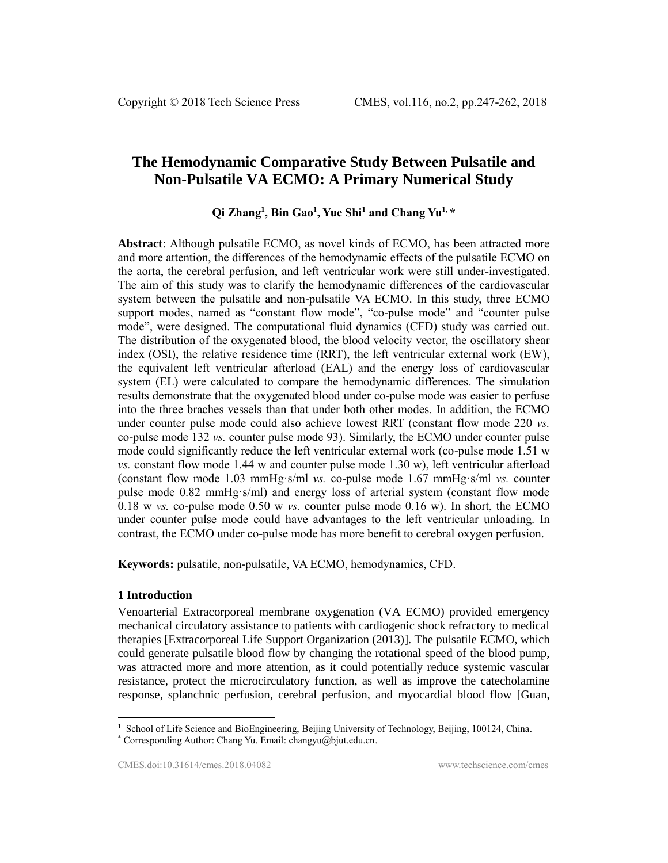# **The Hemodynamic Comparative Study Between Pulsatile and Non-Pulsatile VA ECMO: A Primary Numerical Study**

# **Qi Zhang<sup>1</sup> , Bin Gao<sup>1</sup> , Yue Shi<sup>1</sup> and Chang Yu1, \***

**Abstract**: Although pulsatile ECMO, as novel kinds of ECMO, has been attracted more and more attention, the differences of the hemodynamic effects of the pulsatile ECMO on the aorta, the cerebral perfusion, and left ventricular work were still under-investigated. The aim of this study was to clarify the hemodynamic differences of the cardiovascular system between the pulsatile and non-pulsatile VA ECMO. In this study, three ECMO support modes, named as "constant flow mode", "co-pulse mode" and "counter pulse mode", were designed. The computational fluid dynamics (CFD) study was carried out. The distribution of the oxygenated blood, the blood velocity vector, the oscillatory shear index (OSI), the relative residence time (RRT), the left ventricular external work (EW), the equivalent left ventricular afterload (EAL) and the energy loss of cardiovascular system (EL) were calculated to compare the hemodynamic differences. The simulation results demonstrate that the oxygenated blood under co-pulse mode was easier to perfuse into the three braches vessels than that under both other modes. In addition, the ECMO under counter pulse mode could also achieve lowest RRT (constant flow mode 220 *vs.* co-pulse mode 132 *vs.* counter pulse mode 93). Similarly, the ECMO under counter pulse mode could significantly reduce the left ventricular external work (co-pulse mode 1.51 w *vs.* constant flow mode 1.44 w and counter pulse mode 1.30 w), left ventricular afterload (constant flow mode 1.03 mmHg·s/ml *vs.* co-pulse mode 1.67 mmHg·s/ml *vs.* counter pulse mode 0.82 mmHg·s/ml) and energy loss of arterial system (constant flow mode 0.18 w *vs.* co-pulse mode 0.50 w *vs.* counter pulse mode 0.16 w). In short, the ECMO under counter pulse mode could have advantages to the left ventricular unloading. In contrast, the ECMO under co-pulse mode has more benefit to cerebral oxygen perfusion.

**Keywords:** pulsatile, non-pulsatile, VA ECMO, hemodynamics, CFD.

# **1 Introduction**

 $\overline{a}$ 

Venoarterial Extracorporeal membrane oxygenation (VA ECMO) provided emergency mechanical circulatory assistance to patients with cardiogenic shock refractory to medical therapies [Extracorporeal Life Support Organization (2013)]. The pulsatile ECMO, which could generate pulsatile blood flow by changing the rotational speed of the blood pump, was attracted more and more attention, as it could potentially reduce systemic vascular resistance, protect the microcirculatory function, as well as improve the catecholamine response, splanchnic perfusion, cerebral perfusion, and myocardial blood flow [Guan,

<sup>&</sup>lt;sup>1</sup> School of Life Science and BioEngineering, Beijing University of Technology, Beijing, 100124, China.

<sup>\*</sup> Corresponding Author: Chang Yu. Email: changyu@bjut.edu.cn.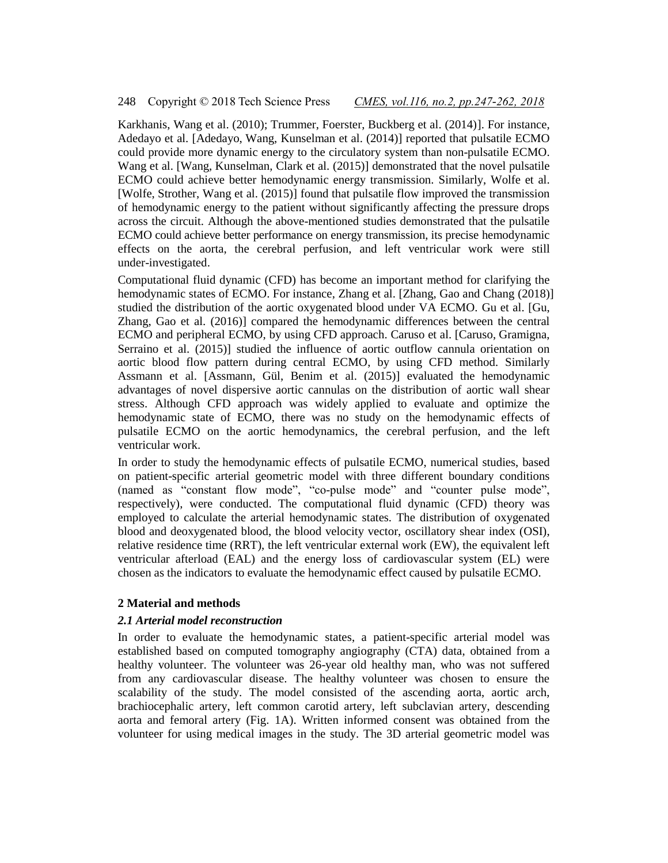Karkhanis, Wang et al. (2010); Trummer, Foerster, Buckberg et al. (2014)]. For instance, Adedayo et al. [Adedayo, Wang, Kunselman et al. (2014)] reported that pulsatile ECMO could provide more dynamic energy to the circulatory system than non-pulsatile ECMO. Wang et al. [Wang, Kunselman, Clark et al. (2015)] demonstrated that the novel pulsatile ECMO could achieve better hemodynamic energy transmission. Similarly, Wolfe et al. [Wolfe, Strother, Wang et al. (2015)] found that pulsatile flow improved the transmission of hemodynamic energy to the patient without significantly affecting the pressure drops across the circuit. Although the above-mentioned studies demonstrated that the pulsatile ECMO could achieve better performance on energy transmission, its precise hemodynamic effects on the aorta, the cerebral perfusion, and left ventricular work were still under-investigated.

Computational fluid dynamic (CFD) has become an important method for clarifying the hemodynamic states of ECMO. For instance, Zhang et al. [Zhang, Gao and Chang (2018)] studied the distribution of the aortic oxygenated blood under VA ECMO. Gu et al. [Gu, Zhang, Gao et al. (2016)] compared the hemodynamic differences between the central ECMO and peripheral ECMO, by using CFD approach. Caruso et al. [Caruso, Gramigna, Serraino et al. (2015)] studied the influence of aortic outflow cannula orientation on aortic blood flow pattern during central ECMO, by using CFD method. Similarly Assmann et al. [Assmann, Gül, Benim et al. (2015)] evaluated the hemodynamic advantages of novel dispersive aortic cannulas on the distribution of aortic wall shear stress. Although CFD approach was widely applied to evaluate and optimize the hemodynamic state of ECMO, there was no study on the hemodynamic effects of pulsatile ECMO on the aortic hemodynamics, the cerebral perfusion, and the left ventricular work.

In order to study the hemodynamic effects of pulsatile ECMO, numerical studies, based on patient-specific arterial geometric model with three different boundary conditions (named as "constant flow mode", "co-pulse mode" and "counter pulse mode", respectively), were conducted. The computational fluid dynamic (CFD) theory was employed to calculate the arterial hemodynamic states. The distribution of oxygenated blood and deoxygenated blood, the blood velocity vector, oscillatory shear index (OSI), relative residence time (RRT), the left ventricular external work (EW), the equivalent left ventricular afterload (EAL) and the energy loss of cardiovascular system (EL) were chosen as the indicators to evaluate the hemodynamic effect caused by pulsatile ECMO.

#### **2 Material and methods**

#### *2.1 Arterial model reconstruction*

In order to evaluate the hemodynamic states, a patient-specific arterial model was established based on computed tomography angiography (CTA) data, obtained from a healthy volunteer. The volunteer was 26-year old healthy man, who was not suffered from any cardiovascular disease. The healthy volunteer was chosen to ensure the scalability of the study. The model consisted of the ascending aorta, aortic arch, brachiocephalic artery, left common carotid artery, left subclavian artery, descending aorta and femoral artery (Fig. 1A). Written informed consent was obtained from the volunteer for using medical images in the study. The 3D arterial geometric model was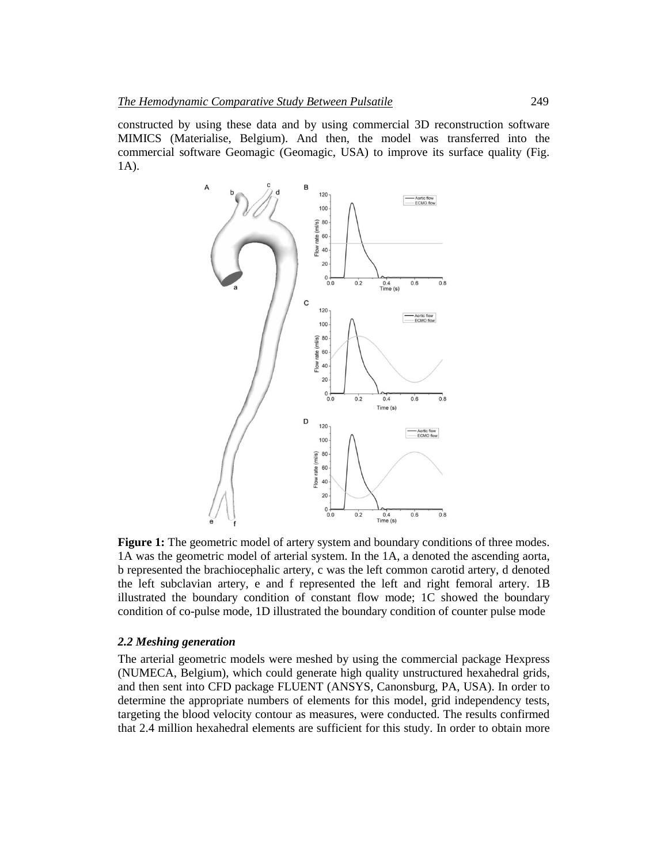constructed by using these data and by using commercial 3D reconstruction software MIMICS (Materialise, Belgium). And then, the model was transferred into the commercial software Geomagic (Geomagic, USA) to improve its surface quality (Fig. 1A).



**Figure 1:** The geometric model of artery system and boundary conditions of three modes. 1A was the geometric model of arterial system. In the 1A, a denoted the ascending aorta, b represented the brachiocephalic artery, c was the left common carotid artery, d denoted the left subclavian artery, e and f represented the left and right femoral artery. 1B illustrated the boundary condition of constant flow mode; 1C showed the boundary condition of co-pulse mode, 1D illustrated the boundary condition of counter pulse mode

#### *2.2 Meshing generation*

The arterial geometric models were meshed by using the commercial package Hexpress (NUMECA, Belgium), which could generate high quality unstructured hexahedral grids, and then sent into CFD package FLUENT (ANSYS, Canonsburg, PA, USA). In order to determine the appropriate numbers of elements for this model, grid independency tests, targeting the blood velocity contour as measures, were conducted. The results confirmed that 2.4 million hexahedral elements are sufficient for this study. In order to obtain more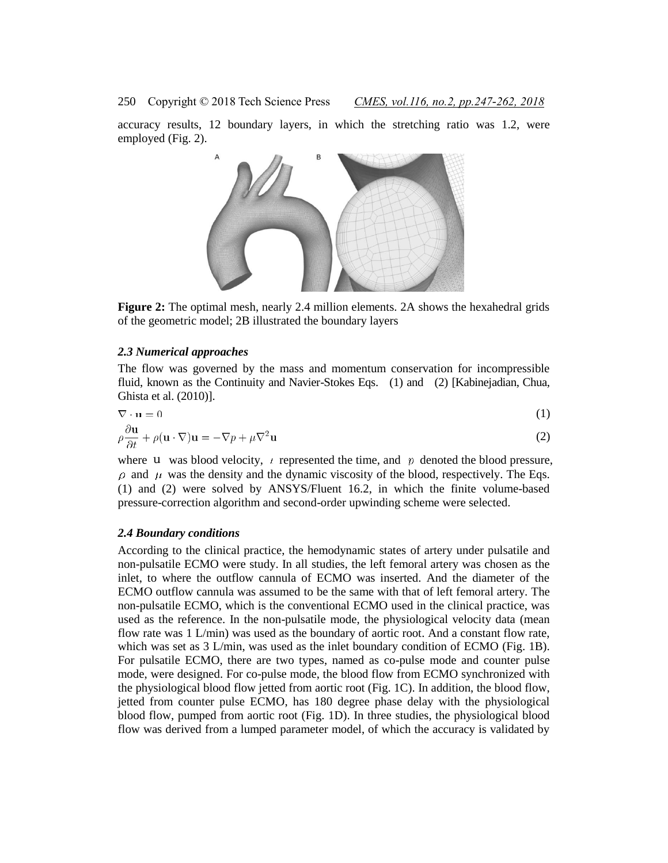accuracy results, 12 boundary layers, in which the stretching ratio was 1.2, were employed (Fig. 2).



**Figure 2:** The optimal mesh, nearly 2.4 million elements. 2A shows the hexahedral grids of the geometric model; 2B illustrated the boundary layers

#### *2.3 Numerical approaches*

The flow was governed by the mass and momentum conservation for incompressible fluid, known as the Continuity and Navier-Stokes Eqs. (1) and (2) [Kabinejadian, Chua, Ghista et al. (2010)].

$$
\nabla \cdot \mathbf{u} = 0 \tag{1}
$$

$$
\rho \frac{\partial \mathbf{u}}{\partial t} + \rho (\mathbf{u} \cdot \nabla) \mathbf{u} = -\nabla p + \mu \nabla^2 \mathbf{u}
$$
\n(2)

where u was blood velocity,  $\mu$  represented the time, and  $p$  denoted the blood pressure,  $\rho$  and  $\mu$  was the density and the dynamic viscosity of the blood, respectively. The Eqs. (1) and (2) were solved by ANSYS/Fluent 16.2, in which the finite volume-based pressure-correction algorithm and second-order upwinding scheme were selected.

#### *2.4 Boundary conditions*

According to the clinical practice, the hemodynamic states of artery under pulsatile and non-pulsatile ECMO were study. In all studies, the left femoral artery was chosen as the inlet, to where the outflow cannula of ECMO was inserted. And the diameter of the ECMO outflow cannula was assumed to be the same with that of left femoral artery. The non-pulsatile ECMO, which is the conventional ECMO used in the clinical practice, was used as the reference. In the non-pulsatile mode, the physiological velocity data (mean flow rate was 1 L/min) was used as the boundary of aortic root. And a constant flow rate, which was set as 3 L/min, was used as the inlet boundary condition of ECMO (Fig. 1B). For pulsatile ECMO, there are two types, named as co-pulse mode and counter pulse mode, were designed. For co-pulse mode, the blood flow from ECMO synchronized with the physiological blood flow jetted from aortic root (Fig. 1C). In addition, the blood flow, jetted from counter pulse ECMO, has 180 degree phase delay with the physiological blood flow, pumped from aortic root (Fig. 1D). In three studies, the physiological blood flow was derived from a lumped parameter model, of which the accuracy is validated by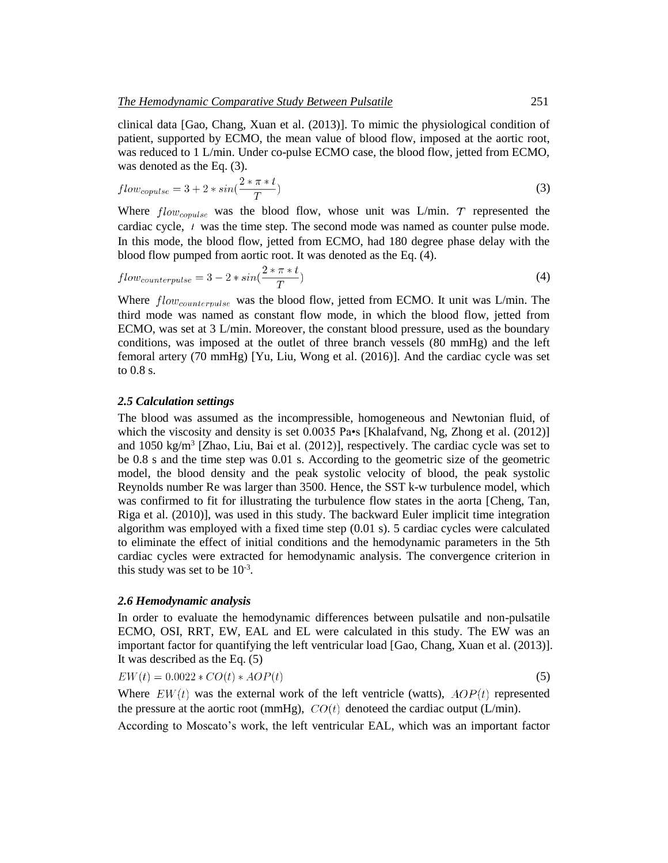clinical data [Gao, Chang, Xuan et al. (2013)]. To mimic the physiological condition of patient, supported by ECMO, the mean value of blood flow, imposed at the aortic root, was reduced to 1 L/min. Under co-pulse ECMO case, the blood flow, jetted from ECMO, was denoted as the Eq. (3).

$$
flow_{copulse} = 3 + 2 * sin(\frac{2 * \pi * t}{T})
$$
\n(3)

Where  $flow_{comulse}$  was the blood flow, whose unit was L/min. T represented the cardiac cycle,  $t$  was the time step. The second mode was named as counter pulse mode. In this mode, the blood flow, jetted from ECMO, had 180 degree phase delay with the blood flow pumped from aortic root. It was denoted as the Eq. (4).

$$
flow_{counterpulse} = 3 - 2 * sin(\frac{2 * \pi * t}{T})
$$
\n(4)

Where  $flow_{counterpulse}$  was the blood flow, jetted from ECMO. It unit was L/min. The third mode was named as constant flow mode, in which the blood flow, jetted from ECMO, was set at 3 L/min. Moreover, the constant blood pressure, used as the boundary conditions, was imposed at the outlet of three branch vessels (80 mmHg) and the left femoral artery (70 mmHg) [Yu, Liu, Wong et al. (2016)]. And the cardiac cycle was set to 0.8 s.

# *2.5 Calculation settings*

The blood was assumed as the incompressible, homogeneous and Newtonian fluid, of which the viscosity and density is set  $0.0035$  Pa•s [Khalafvand, Ng, Zhong et al. (2012)] and  $1050 \text{ kg/m}^3$  [Zhao, Liu, Bai et al. (2012)], respectively. The cardiac cycle was set to be 0.8 s and the time step was 0.01 s. According to the geometric size of the geometric model, the blood density and the peak systolic velocity of blood, the peak systolic Reynolds number Re was larger than 3500. Hence, the SST k-w turbulence model, which was confirmed to fit for illustrating the turbulence flow states in the aorta [Cheng, Tan, Riga et al. (2010)], was used in this study. The backward Euler implicit time integration algorithm was employed with a fixed time step (0.01 s). 5 cardiac cycles were calculated to eliminate the effect of initial conditions and the hemodynamic parameters in the 5th cardiac cycles were extracted for hemodynamic analysis. The convergence criterion in this study was set to be  $10^{-3}$ .

#### *2.6 Hemodynamic analysis*

In order to evaluate the hemodynamic differences between pulsatile and non-pulsatile ECMO, OSI, RRT, EW, EAL and EL were calculated in this study. The EW was an important factor for quantifying the left ventricular load [Gao, Chang, Xuan et al. (2013)]. It was described as the Eq. (5)

$$
EW(t) = 0.0022 \times CO(t) \times AOP(t) \tag{5}
$$

Where  $EW(t)$  was the external work of the left ventricle (watts),  $AOP(t)$  represented the pressure at the aortic root (mmHg),  $CO(t)$  denoteed the cardiac output (L/min).

According to Moscato's work, the left ventricular EAL, which was an important factor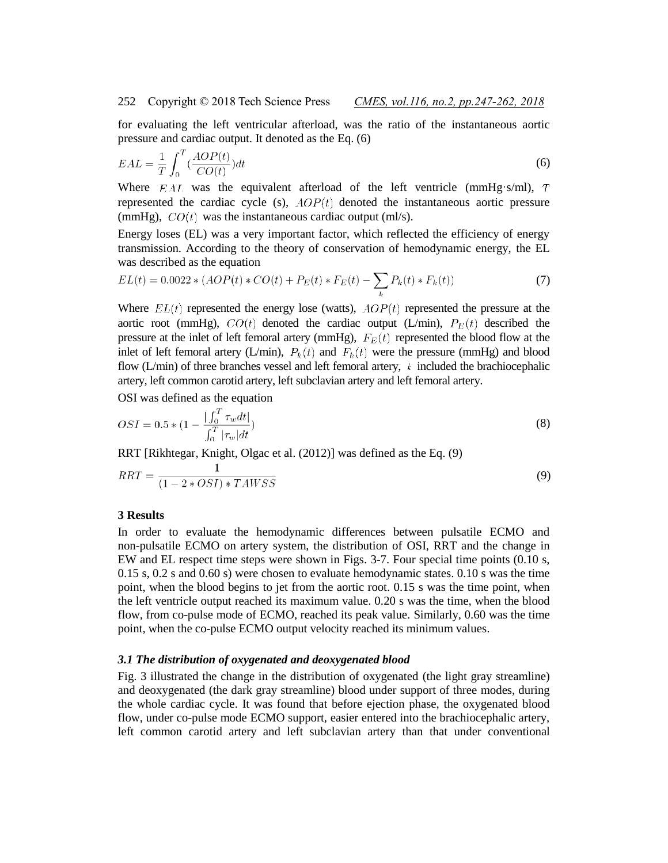for evaluating the left ventricular afterload, was the ratio of the instantaneous aortic pressure and cardiac output. It denoted as the Eq. (6)

$$
EAL = \frac{1}{T} \int_0^T \left(\frac{AOP(t)}{CO(t)}\right) dt
$$
\n(6)

Where  $EAL$  was the equivalent afterload of the left ventricle (mmHg·s/ml), T represented the cardiac cycle (s),  $AOP(t)$  denoted the instantaneous aortic pressure (mmHg),  $CO(t)$  was the instantaneous cardiac output (ml/s).

Energy loses (EL) was a very important factor, which reflected the efficiency of energy transmission. According to the theory of conservation of hemodynamic energy, the EL was described as the equation

$$
EL(t) = 0.0022 * (AOP(t) * CO(t) + P_E(t) * F_E(t) - \sum_{k} P_k(t) * F_k(t))
$$
\n(7)

Where  $EL(t)$  represented the energy lose (watts),  $AOP(t)$  represented the pressure at the aortic root (mmHg),  $CO(t)$  denoted the cardiac output (L/min),  $P_E(t)$  described the pressure at the inlet of left femoral artery (mmHg),  $F_E(t)$  represented the blood flow at the inlet of left femoral artery (L/min),  $P_k(t)$  and  $F_k(t)$  were the pressure (mmHg) and blood flow (L/min) of three branches vessel and left femoral artery,  $k$  included the brachiocephalic artery, left common carotid artery, left subclavian artery and left femoral artery.

OSI was defined as the equation

$$
OSI = 0.5 * (1 - \frac{\int_0^T \tau_w dt}{\int_0^T |\tau_w| dt})
$$
\n(8)

RRT [Rikhtegar, Knight, Olgac et al. (2012)] was defined as the Eq. (9)

$$
RRT = \frac{1}{(1 - 2 * OSI) * TAWSS}
$$
\n(9)

#### **3 Results**

In order to evaluate the hemodynamic differences between pulsatile ECMO and non-pulsatile ECMO on artery system, the distribution of OSI, RRT and the change in EW and EL respect time steps were shown in Figs. 3-7. Four special time points (0.10 s, 0.15 s, 0.2 s and 0.60 s) were chosen to evaluate hemodynamic states. 0.10 s was the time point, when the blood begins to jet from the aortic root. 0.15 s was the time point, when the left ventricle output reached its maximum value. 0.20 s was the time, when the blood flow, from co-pulse mode of ECMO, reached its peak value. Similarly, 0.60 was the time point, when the co-pulse ECMO output velocity reached its minimum values.

#### *3.1 The distribution of oxygenated and deoxygenated blood*

Fig. 3 illustrated the change in the distribution of oxygenated (the light gray streamline) and deoxygenated (the dark gray streamline) blood under support of three modes, during the whole cardiac cycle. It was found that before ejection phase, the oxygenated blood flow, under co-pulse mode ECMO support, easier entered into the brachiocephalic artery, left common carotid artery and left subclavian artery than that under conventional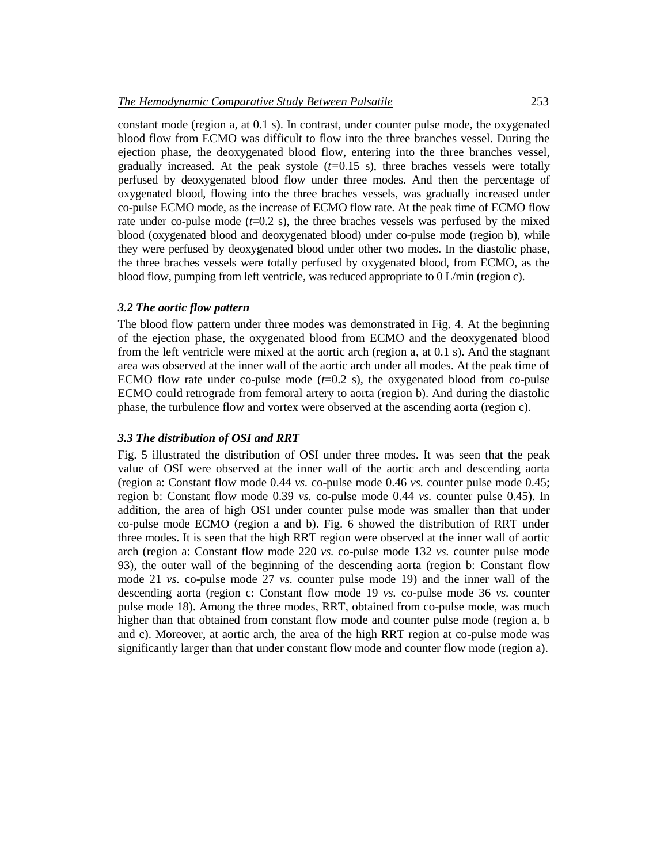constant mode (region a, at 0.1 s). In contrast, under counter pulse mode, the oxygenated blood flow from ECMO was difficult to flow into the three branches vessel. During the ejection phase, the deoxygenated blood flow, entering into the three branches vessel, gradually increased. At the peak systole (*t=*0.15 s), three braches vessels were totally perfused by deoxygenated blood flow under three modes. And then the percentage of oxygenated blood, flowing into the three braches vessels, was gradually increased under co-pulse ECMO mode, as the increase of ECMO flow rate. At the peak time of ECMO flow rate under co-pulse mode  $(t=0.2 \text{ s})$ , the three braches vessels was perfused by the mixed blood (oxygenated blood and deoxygenated blood) under co-pulse mode (region b), while they were perfused by deoxygenated blood under other two modes. In the diastolic phase, the three braches vessels were totally perfused by oxygenated blood, from ECMO, as the blood flow, pumping from left ventricle, was reduced appropriate to 0 L/min (region c).

#### *3.2 The aortic flow pattern*

The blood flow pattern under three modes was demonstrated in Fig. 4. At the beginning of the ejection phase, the oxygenated blood from ECMO and the deoxygenated blood from the left ventricle were mixed at the aortic arch (region a, at 0.1 s). And the stagnant area was observed at the inner wall of the aortic arch under all modes. At the peak time of ECMO flow rate under co-pulse mode  $(t=0.2 \text{ s})$ , the oxygenated blood from co-pulse ECMO could retrograde from femoral artery to aorta (region b). And during the diastolic phase, the turbulence flow and vortex were observed at the ascending aorta (region c).

# *3.3 The distribution of OSI and RRT*

Fig. 5 illustrated the distribution of OSI under three modes. It was seen that the peak value of OSI were observed at the inner wall of the aortic arch and descending aorta (region a: Constant flow mode 0.44 *vs.* co-pulse mode 0.46 *vs.* counter pulse mode 0.45; region b: Constant flow mode 0.39 *vs.* co-pulse mode 0.44 *vs.* counter pulse 0.45). In addition, the area of high OSI under counter pulse mode was smaller than that under co-pulse mode ECMO (region a and b). Fig. 6 showed the distribution of RRT under three modes. It is seen that the high RRT region were observed at the inner wall of aortic arch (region a: Constant flow mode 220 *vs.* co-pulse mode 132 *vs.* counter pulse mode 93), the outer wall of the beginning of the descending aorta (region b: Constant flow mode 21 *vs.* co-pulse mode 27 *vs.* counter pulse mode 19) and the inner wall of the descending aorta (region c: Constant flow mode 19 *vs.* co-pulse mode 36 *vs.* counter pulse mode 18). Among the three modes, RRT, obtained from co-pulse mode, was much higher than that obtained from constant flow mode and counter pulse mode (region a, b and c). Moreover, at aortic arch, the area of the high RRT region at co-pulse mode was significantly larger than that under constant flow mode and counter flow mode (region a).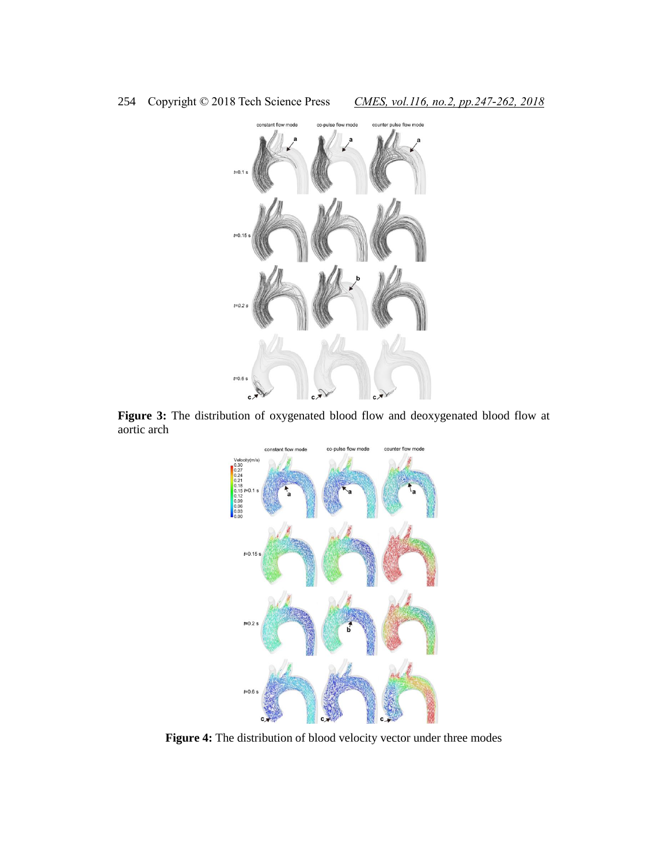

**Figure 3:** The distribution of oxygenated blood flow and deoxygenated blood flow at aortic arch



**Figure 4:** The distribution of blood velocity vector under three modes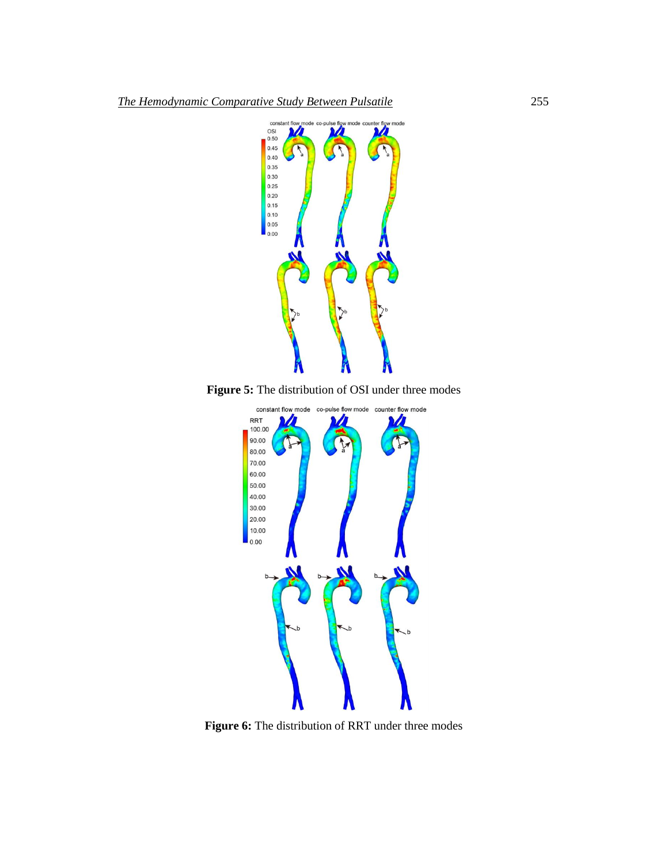

**Figure 5:** The distribution of OSI under three modes



**Figure 6:** The distribution of RRT under three modes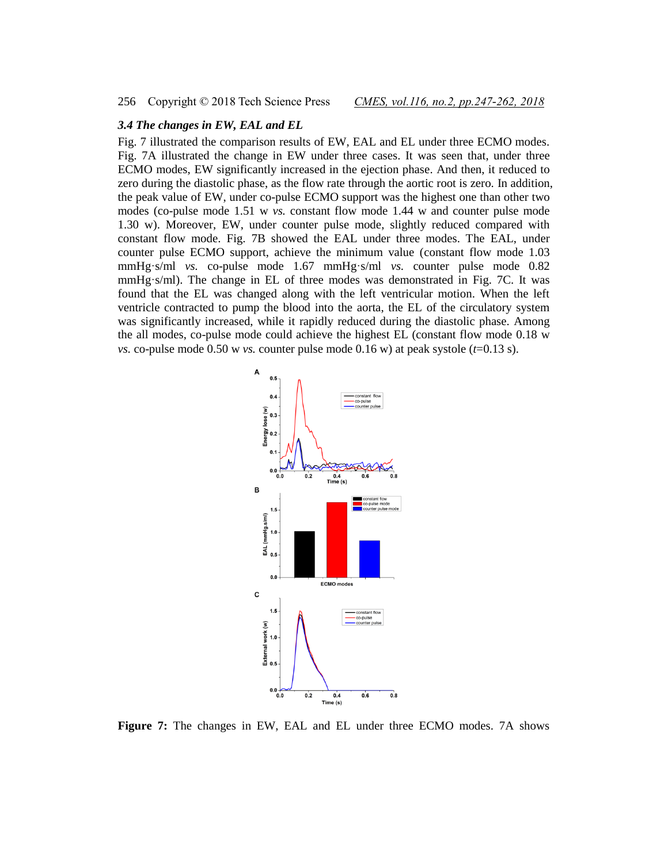# *3.4 The changes in EW, EAL and EL*

Fig. 7 illustrated the comparison results of EW, EAL and EL under three ECMO modes. Fig. 7A illustrated the change in EW under three cases. It was seen that, under three ECMO modes, EW significantly increased in the ejection phase. And then, it reduced to zero during the diastolic phase, as the flow rate through the aortic root is zero. In addition, the peak value of EW, under co-pulse ECMO support was the highest one than other two modes (co-pulse mode 1.51 w *vs.* constant flow mode 1.44 w and counter pulse mode 1.30 w). Moreover, EW, under counter pulse mode, slightly reduced compared with constant flow mode. Fig. 7B showed the EAL under three modes. The EAL, under counter pulse ECMO support, achieve the minimum value (constant flow mode 1.03 mmHg·s/ml *vs.* co-pulse mode 1.67 mmHg·s/ml *vs.* counter pulse mode 0.82 mmHg·s/ml). The change in EL of three modes was demonstrated in Fig. 7C. It was found that the EL was changed along with the left ventricular motion. When the left ventricle contracted to pump the blood into the aorta, the EL of the circulatory system was significantly increased, while it rapidly reduced during the diastolic phase. Among the all modes, co-pulse mode could achieve the highest EL (constant flow mode 0.18 w *vs.* co-pulse mode 0.50 w *vs.* counter pulse mode 0.16 w) at peak systole (*t*=0.13 s).



**Figure 7:** The changes in EW, EAL and EL under three ECMO modes. 7A shows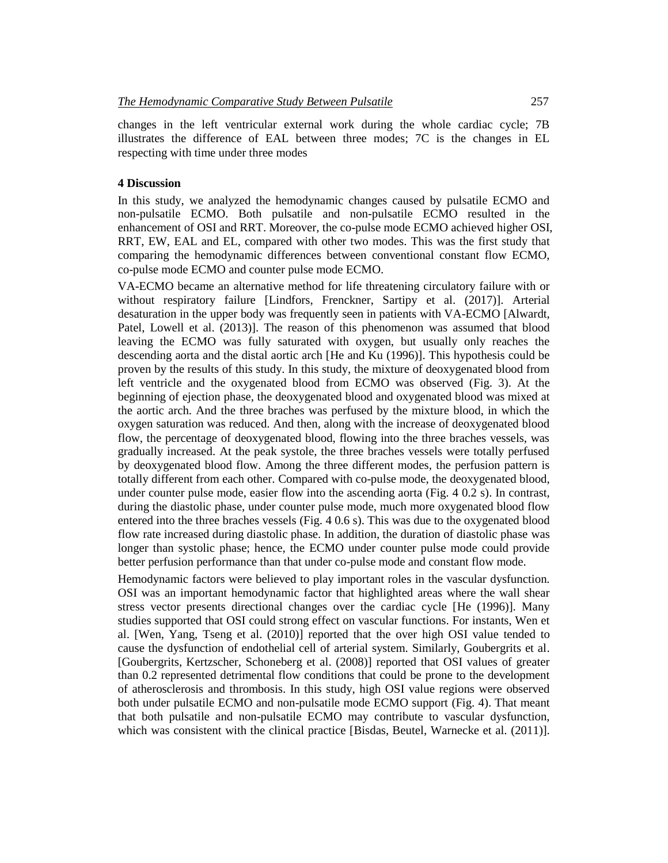changes in the left ventricular external work during the whole cardiac cycle; 7B illustrates the difference of EAL between three modes; 7C is the changes in EL respecting with time under three modes

#### **4 Discussion**

In this study, we analyzed the hemodynamic changes caused by pulsatile ECMO and non-pulsatile ECMO. Both pulsatile and non-pulsatile ECMO resulted in the enhancement of OSI and RRT. Moreover, the co-pulse mode ECMO achieved higher OSI, RRT, EW, EAL and EL, compared with other two modes. This was the first study that comparing the hemodynamic differences between conventional constant flow ECMO, co-pulse mode ECMO and counter pulse mode ECMO.

VA-ECMO became an alternative method for life threatening circulatory failure with or without respiratory failure [Lindfors, Frenckner, Sartipy et al. (2017)]. Arterial desaturation in the upper body was frequently seen in patients with VA-ECMO [Alwardt, Patel, Lowell et al. (2013)]. The reason of this phenomenon was assumed that blood leaving the ECMO was fully saturated with oxygen, but usually only reaches the descending aorta and the distal aortic arch [He and Ku (1996)]. This hypothesis could be proven by the results of this study. In this study, the mixture of deoxygenated blood from left ventricle and the oxygenated blood from ECMO was observed (Fig. 3). At the beginning of ejection phase, the deoxygenated blood and oxygenated blood was mixed at the aortic arch. And the three braches was perfused by the mixture blood, in which the oxygen saturation was reduced. And then, along with the increase of deoxygenated blood flow, the percentage of deoxygenated blood, flowing into the three braches vessels, was gradually increased. At the peak systole, the three braches vessels were totally perfused by deoxygenated blood flow. Among the three different modes, the perfusion pattern is totally different from each other. Compared with co-pulse mode, the deoxygenated blood, under counter pulse mode, easier flow into the ascending aorta (Fig. 4 0.2 s). In contrast, during the diastolic phase, under counter pulse mode, much more oxygenated blood flow entered into the three braches vessels (Fig. 4 0.6 s). This was due to the oxygenated blood flow rate increased during diastolic phase. In addition, the duration of diastolic phase was longer than systolic phase; hence, the ECMO under counter pulse mode could provide better perfusion performance than that under co-pulse mode and constant flow mode.

Hemodynamic factors were believed to play important roles in the vascular dysfunction. OSI was an important hemodynamic factor that highlighted areas where the wall shear stress vector presents directional changes over the cardiac cycle [He (1996)]. Many studies supported that OSI could strong effect on vascular functions. For instants, Wen et al. [Wen, Yang, Tseng et al. (2010)] reported that the over high OSI value tended to cause the dysfunction of endothelial cell of arterial system. Similarly, Goubergrits et al. [Goubergrits, Kertzscher, Schoneberg et al. (2008)] reported that OSI values of greater than 0.2 represented detrimental flow conditions that could be prone to the development of atherosclerosis and thrombosis. In this study, high OSI value regions were observed both under pulsatile ECMO and non-pulsatile mode ECMO support (Fig. 4). That meant that both pulsatile and non-pulsatile ECMO may contribute to vascular dysfunction, which was consistent with the clinical practice [Bisdas, Beutel, Warnecke et al. (2011)].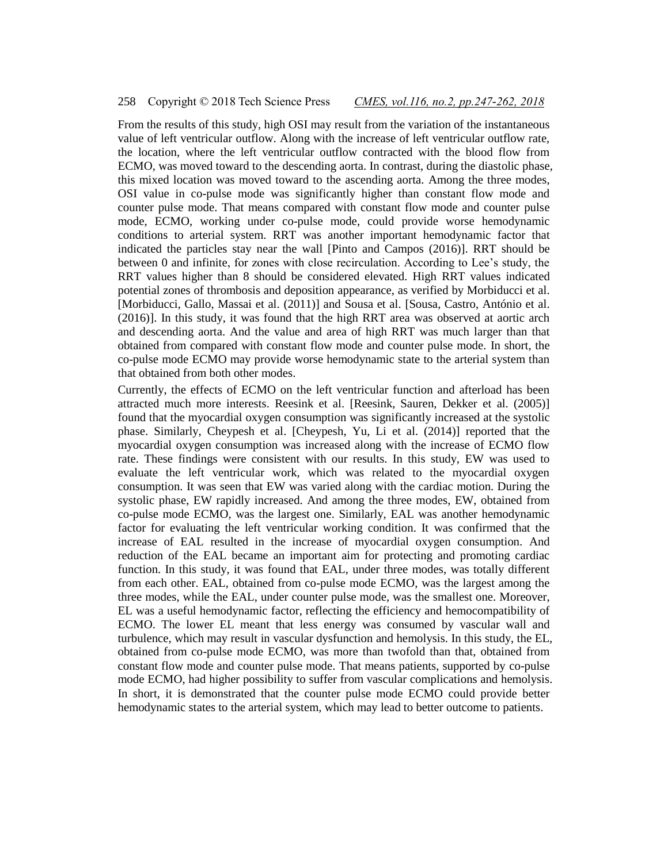From the results of this study, high OSI may result from the variation of the instantaneous value of left ventricular outflow. Along with the increase of left ventricular outflow rate, the location, where the left ventricular outflow contracted with the blood flow from ECMO, was moved toward to the descending aorta. In contrast, during the diastolic phase, this mixed location was moved toward to the ascending aorta. Among the three modes, OSI value in co-pulse mode was significantly higher than constant flow mode and counter pulse mode. That means compared with constant flow mode and counter pulse mode, ECMO, working under co-pulse mode, could provide worse hemodynamic conditions to arterial system. RRT was another important hemodynamic factor that indicated the particles stay near the wall [Pinto and Campos (2016)]. RRT should be between 0 and infinite, for zones with close recirculation. According to Lee's study, the RRT values higher than 8 should be considered elevated. High RRT values indicated potential zones of thrombosis and deposition appearance, as verified by Morbiducci et al. [Morbiducci, Gallo, Massai et al. (2011)] and Sousa et al. [Sousa, Castro, António et al. (2016)]. In this study, it was found that the high RRT area was observed at aortic arch and descending aorta. And the value and area of high RRT was much larger than that obtained from compared with constant flow mode and counter pulse mode. In short, the co-pulse mode ECMO may provide worse hemodynamic state to the arterial system than that obtained from both other modes.

Currently, the effects of ECMO on the left ventricular function and afterload has been attracted much more interests. Reesink et al. [Reesink, Sauren, Dekker et al. (2005)] found that the myocardial oxygen consumption was significantly increased at the systolic phase. Similarly, Cheypesh et al. [Cheypesh, Yu, Li et al. (2014)] reported that the myocardial oxygen consumption was increased along with the increase of ECMO flow rate. These findings were consistent with our results. In this study, EW was used to evaluate the left ventricular work, which was related to the myocardial oxygen consumption. It was seen that EW was varied along with the cardiac motion. During the systolic phase, EW rapidly increased. And among the three modes, EW, obtained from co-pulse mode ECMO, was the largest one. Similarly, EAL was another hemodynamic factor for evaluating the left ventricular working condition. It was confirmed that the increase of EAL resulted in the increase of myocardial oxygen consumption. And reduction of the EAL became an important aim for protecting and promoting cardiac function. In this study, it was found that EAL, under three modes, was totally different from each other. EAL, obtained from co-pulse mode ECMO, was the largest among the three modes, while the EAL, under counter pulse mode, was the smallest one. Moreover, EL was a useful hemodynamic factor, reflecting the efficiency and hemocompatibility of ECMO. The lower EL meant that less energy was consumed by vascular wall and turbulence, which may result in vascular dysfunction and hemolysis. In this study, the EL, obtained from co-pulse mode ECMO, was more than twofold than that, obtained from constant flow mode and counter pulse mode. That means patients, supported by co-pulse mode ECMO, had higher possibility to suffer from vascular complications and hemolysis. In short, it is demonstrated that the counter pulse mode ECMO could provide better hemodynamic states to the arterial system, which may lead to better outcome to patients.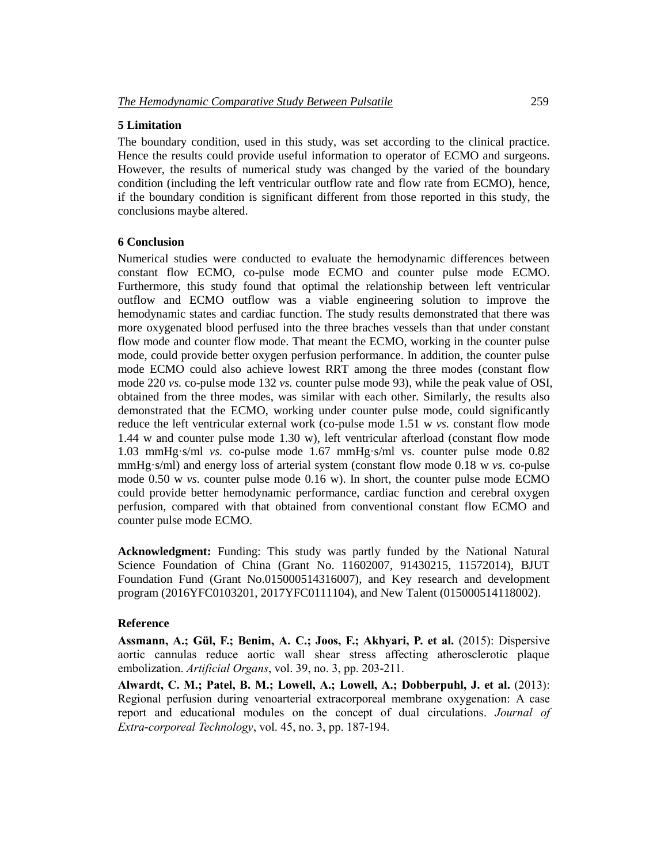# **5 Limitation**

The boundary condition, used in this study, was set according to the clinical practice. Hence the results could provide useful information to operator of ECMO and surgeons. However, the results of numerical study was changed by the varied of the boundary condition (including the left ventricular outflow rate and flow rate from ECMO), hence, if the boundary condition is significant different from those reported in this study, the conclusions maybe altered.

#### **6 Conclusion**

Numerical studies were conducted to evaluate the hemodynamic differences between constant flow ECMO, co-pulse mode ECMO and counter pulse mode ECMO. Furthermore, this study found that optimal the relationship between left ventricular outflow and ECMO outflow was a viable engineering solution to improve the hemodynamic states and cardiac function. The study results demonstrated that there was more oxygenated blood perfused into the three braches vessels than that under constant flow mode and counter flow mode. That meant the ECMO, working in the counter pulse mode, could provide better oxygen perfusion performance. In addition, the counter pulse mode ECMO could also achieve lowest RRT among the three modes (constant flow mode 220 *vs.* co-pulse mode 132 *vs.* counter pulse mode 93), while the peak value of OSI, obtained from the three modes, was similar with each other. Similarly, the results also demonstrated that the ECMO, working under counter pulse mode, could significantly reduce the left ventricular external work (co-pulse mode 1.51 w *vs.* constant flow mode 1.44 w and counter pulse mode 1.30 w), left ventricular afterload (constant flow mode 1.03 mmHg·s/ml *vs.* co-pulse mode 1.67 mmHg·s/ml vs. counter pulse mode 0.82 mmHg·s/ml) and energy loss of arterial system (constant flow mode 0.18 w *vs.* co-pulse mode 0.50 w *vs.* counter pulse mode 0.16 w). In short, the counter pulse mode ECMO could provide better hemodynamic performance, cardiac function and cerebral oxygen perfusion, compared with that obtained from conventional constant flow ECMO and counter pulse mode ECMO.

**Acknowledgment:** Funding: This study was partly funded by the National Natural Science Foundation of China (Grant No. 11602007, 91430215, 11572014), BJUT Foundation Fund (Grant No.015000514316007), and Key research and development program (2016YFC0103201, 2017YFC0111104), and New Talent (015000514118002).

#### **Reference**

**Assmann, A.; Gül, F.; Benim, A. C.; Joos, F.; Akhyari, P. et al.** (2015): Dispersive aortic cannulas reduce aortic wall shear stress affecting atherosclerotic plaque embolization. *Artificial Organs*, vol. 39, no. 3, pp. 203-211.

**Alwardt, C. M.; Patel, B. M.; Lowell, A.; Lowell, A.; Dobberpuhl, J. et al.** (2013): Regional perfusion during venoarterial extracorporeal membrane oxygenation: A case report and educational modules on the concept of dual circulations. *Journal of Extra-corporeal Technology*, vol. 45, no. 3, pp. 187-194.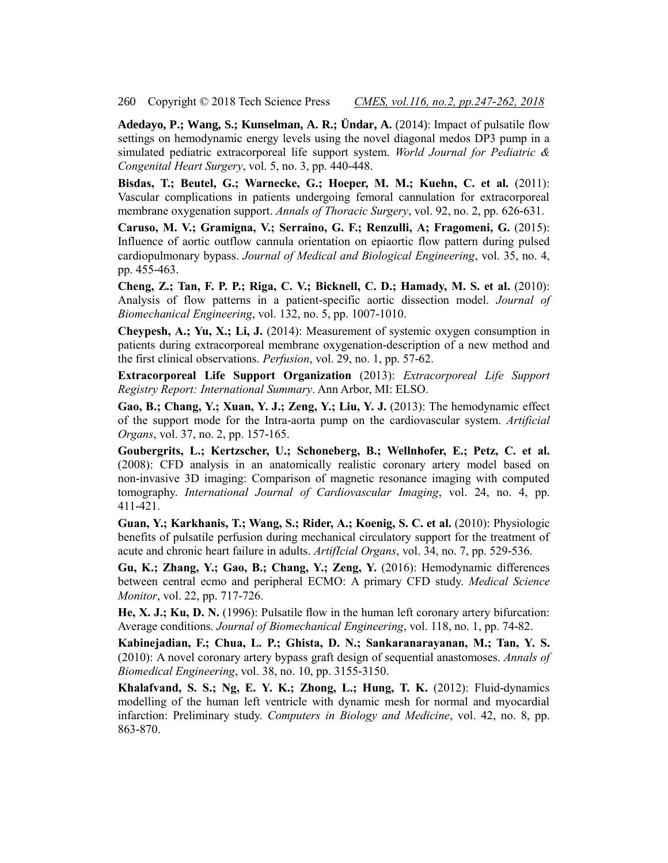**Adedayo, P.; Wang, S.; Kunselman, A. R.; Ündar, A.** (2014): Impact of pulsatile flow settings on hemodynamic energy levels using the novel diagonal medos DP3 pump in a simulated pediatric extracorporeal life support system. *World Journal for Pediatric & Congenital Heart Surgery*, vol. 5, no. 3, pp. 440-448.

**Bisdas, T.; Beutel, G.; Warnecke, G.; Hoeper, M. M.; Kuehn, C. et al.** (2011): Vascular complications in patients undergoing femoral cannulation for extracorporeal membrane oxygenation support. *Annals of Thoracic Surgery*, vol. 92, no. 2, pp. 626-631.

**Caruso, M. V.; Gramigna, V.; Serraino, G. F.; Renzulli, A; Fragomeni, G.** (2015): Influence of aortic outflow cannula orientation on epiaortic flow pattern during pulsed cardiopulmonary bypass. *Journal of Medical and Biological Engineering*, vol. 35, no. 4, pp. 455-463.

**Cheng, Z.; Tan, F. P. P.; Riga, C. V.; Bicknell, C. D.; Hamady, M. S. et al.** (2010): Analysis of flow patterns in a patient-specific aortic dissection model. *Journal of Biomechanical Engineering*, vol. 132, no. 5, pp. 1007-1010.

**Cheypesh, A.; Yu, X.; Li, J.** (2014): Measurement of systemic oxygen consumption in patients during extracorporeal membrane oxygenation-description of a new method and the first clinical observations. *Perfusion*, vol. 29, no. 1, pp. 57-62.

**Extracorporeal Life Support Organization** (2013): *Extracorporeal Life Support Registry Report: International Summary*. Ann Arbor, MI: ELSO.

**Gao, B.; Chang, Y.; Xuan, Y. J.; Zeng, Y.; Liu, Y. J.** (2013): The hemodynamic effect of the support mode for the Intra-aorta pump on the cardiovascular system. *Artificial Organs*, vol. 37, no. 2, pp. 157-165.

**Goubergrits, L.; Kertzscher, U.; Schoneberg, B.; Wellnhofer, E.; Petz, C. et al.**  (2008): CFD analysis in an anatomically realistic coronary artery model based on non-invasive 3D imaging: Comparison of magnetic resonance imaging with computed tomography. *International Journal of Cardiovascular Imaging*, vol. 24, no. 4, pp. 411-421.

**Guan, Y.; Karkhanis, T.; Wang, S.; Rider, A.; Koenig, S. C. et al.** (2010): Physiologic benefits of pulsatile perfusion during mechanical circulatory support for the treatment of acute and chronic heart failure in adults. *ArtifIcial Organs*, vol. 34, no. 7, pp. 529-536.

**Gu, K.; Zhang, Y.; Gao, B.; Chang, Y.; Zeng, Y.** (2016): Hemodynamic differences between central ecmo and peripheral ECMO: A primary CFD study. *Medical Science Monitor*, vol. 22, pp. 717-726.

**He, X. J.; Ku, D. N.** (1996): Pulsatile flow in the human left coronary artery bifurcation: Average conditions. *Journal of Biomechanical Engineering*, vol. 118, no. 1, pp. 74-82.

**Kabinejadian, F.; Chua, L. P.; Ghista, D. N.; Sankaranarayanan, M.; Tan, Y. S.** (2010): A novel coronary artery bypass graft design of sequential anastomoses. *Annals of Biomedical Engineering*, vol. 38, no. 10, pp. 3155-3150.

**Khalafvand, S. S.; Ng, E. Y. K.; Zhong, L.; Hung, T. K.** (2012): Fluid-dynamics modelling of the human left ventricle with dynamic mesh for normal and myocardial infarction: Preliminary study. *Computers in Biology and Medicine*, vol. 42, no. 8, pp. 863-870.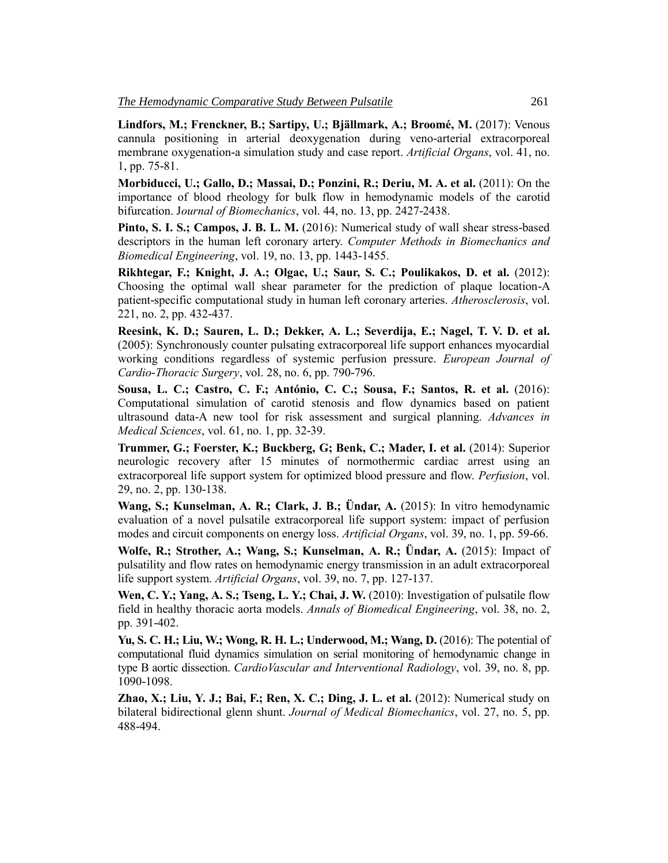**Lindfors, M.; Frenckner, B.; Sartipy, U.; Bjällmark, A.; Broomé, M.** (2017): Venous cannula positioning in arterial deoxygenation during veno-arterial extracorporeal membrane oxygenation-a simulation study and case report. *Artificial Organs*, vol. 41, no. 1, pp. 75-81.

**Morbiducci, U.; Gallo, D.; Massai, D.; Ponzini, R.; Deriu, M. A. et al.** (2011): On the importance of blood rheology for bulk flow in hemodynamic models of the carotid bifurcation. J*ournal of Biomechanics*, vol. 44, no. 13, pp. 2427-2438.

**Pinto, S. I. S.; Campos, J. B. L. M.** (2016): Numerical study of wall shear stress-based descriptors in the human left coronary artery. *Computer Methods in Biomechanics and Biomedical Engineering*, vol. 19, no. 13, pp. 1443-1455.

**Rikhtegar, F.; Knight, J. A.; Olgac, U.; Saur, S. C.; Poulikakos, D. et al.** (2012): Choosing the optimal wall shear parameter for the prediction of plaque location-A patient-specific computational study in human left coronary arteries. *Atherosclerosis*, vol. 221, no. 2, pp. 432-437.

**Reesink, K. D.; Sauren, L. D.; Dekker, A. L.; Severdija, E.; Nagel, T. V. D. et al.**  (2005): Synchronously counter pulsating extracorporeal life support enhances myocardial working conditions regardless of systemic perfusion pressure. *European Journal of Cardio-Thoracic Surgery*, vol. 28, no. 6, pp. 790-796.

**Sousa, L. C.; Castro, C. F.; António, C. C.; Sousa, F.; Santos, R. et al.** (2016): Computational simulation of carotid stenosis and flow dynamics based on patient ultrasound data-A new tool for risk assessment and surgical planning. *Advances in Medical Sciences*, vol. 61, no. 1, pp. 32-39.

**Trummer, G.; Foerster, K.; Buckberg, G; Benk, C.; Mader, I. et al.** (2014): Superior neurologic recovery after 15 minutes of normothermic cardiac arrest using an extracorporeal life support system for optimized blood pressure and flow. *Perfusion*, vol. 29, no. 2, pp. 130-138.

**Wang, S.; Kunselman, A. R.; Clark, J. B.; Ündar, A.** (2015): In vitro hemodynamic evaluation of a novel pulsatile extracorporeal life support system: impact of perfusion modes and circuit components on energy loss. *Artificial Organs*, vol. 39, no. 1, pp. 59-66.

**Wolfe, R.; Strother, A.; Wang, S.; Kunselman, A. R.; Ündar, A.** (2015): Impact of pulsatility and flow rates on hemodynamic energy transmission in an adult extracorporeal life support system. *Artificial Organs*, vol. 39, no. 7, pp. 127-137.

**Wen, C. Y.; Yang, A. S.; Tseng, L. Y.; Chai, J. W.** (2010): Investigation of pulsatile flow field in healthy thoracic aorta models. *Annals of Biomedical Engineering*, vol. 38, no. 2, pp. 391-402.

**Yu, S. C. H.; Liu, W.; Wong, R. H. L.; Underwood, M.; Wang, D.** (2016): The potential of computational fluid dynamics simulation on serial monitoring of hemodynamic change in type B aortic dissection. *CardioVascular and Interventional Radiology*, vol. 39, no. 8, pp. 1090-1098.

**Zhao, X.; Liu, Y. J.; Bai, F.; Ren, X. C.; Ding, J. L. et al.** (2012): Numerical study on bilateral bidirectional glenn shunt. *Journal of Medical Biomechanics*, vol. 27, no. 5, pp. 488-494.